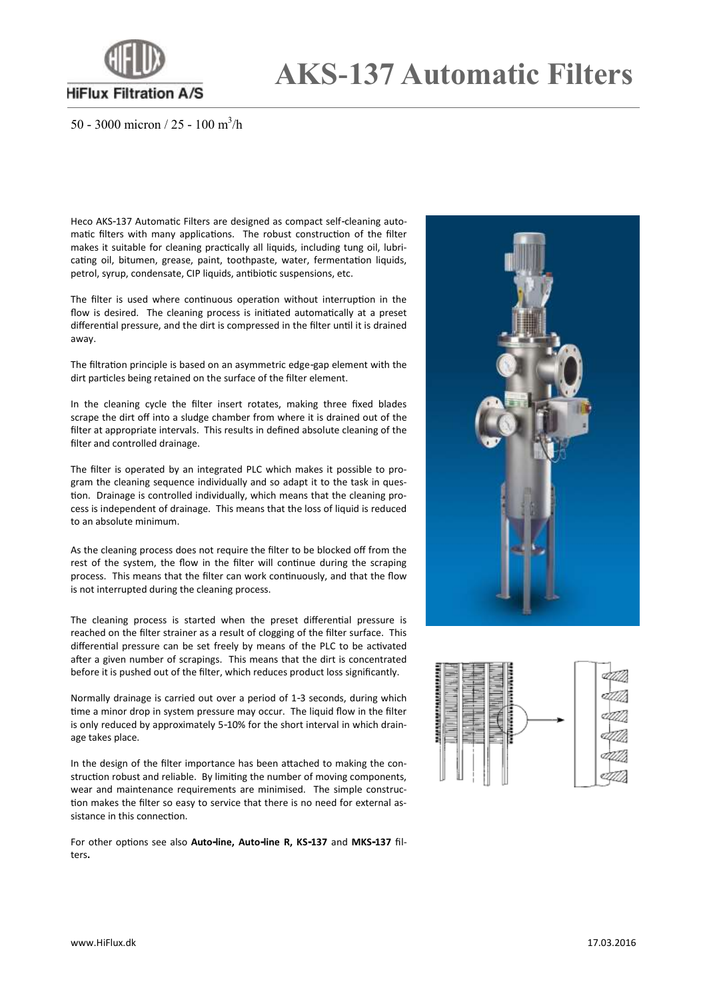

## **AKS-137 Automatic Filters**

50 - 3000 micron / 25 - 100 m<sup>3</sup>/h

Heco AKS-137 Automatic Filters are designed as compact self-cleaning automatic filters with many applications. The robust construction of the filter makes it suitable for cleaning practically all liquids, including tung oil, lubricating oil, bitumen, grease, paint, toothpaste, water, fermentation liquids, petrol, syrup, condensate, CIP liquids, antibiotic suspensions, etc.

The filter is used where continuous operation without interruption in the flow is desired. The cleaning process is initiated automatically at a preset differential pressure, and the dirt is compressed in the filter until it is drained away.

The filtration principle is based on an asymmetric edge-gap element with the dirt particles being retained on the surface of the filter element.

In the cleaning cycle the filter insert rotates, making three fixed blades scrape the dirt off into a sludge chamber from where it is drained out of the filter at appropriate intervals. This results in defined absolute cleaning of the filter and controlled drainage.

The filter is operated by an integrated PLC which makes it possible to program the cleaning sequence individually and so adapt it to the task in question. Drainage is controlled individually, which means that the cleaning process is independent of drainage. This means that the loss of liquid is reduced to an absolute minimum.

As the cleaning process does not require the filter to be blocked off from the rest of the system, the flow in the filter will continue during the scraping process. This means that the filter can work continuously, and that the flow is not interrupted during the cleaning process.

The cleaning process is started when the preset differential pressure is reached on the filter strainer as a result of clogging of the filter surface. This differential pressure can be set freely by means of the PLC to be activated after a given number of scrapings. This means that the dirt is concentrated before it is pushed out of the filter, which reduces product loss significantly.

Normally drainage is carried out over a period of 1-3 seconds, during which time a minor drop in system pressure may occur. The liquid flow in the filter is only reduced by approximately 5-10% for the short interval in which drainage takes place.

In the design of the filter importance has been attached to making the construction robust and reliable. By limiting the number of moving components, wear and maintenance requirements are minimised. The simple construction makes the filter so easy to service that there is no need for external assistance in this connection.

For other options see also **Auto-line, Auto-line R, KS-137** and **MKS-137** filters**.**